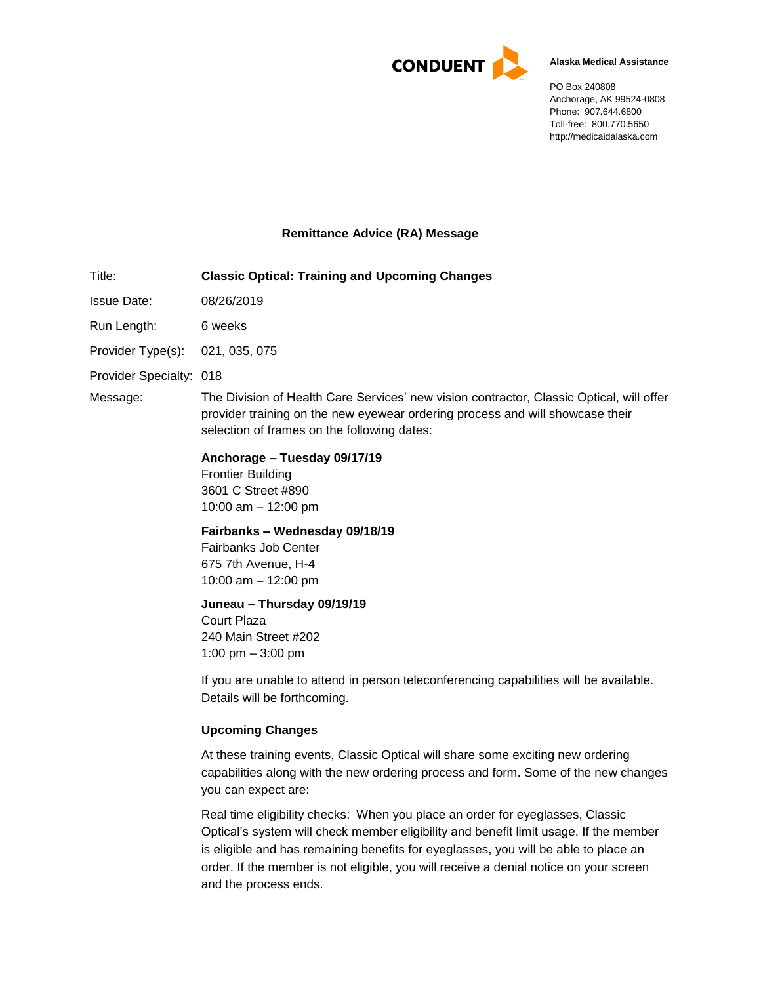

#### **Alaska Medical Assistance**

PO Box 240808 Anchorage, AK 99524-0808 Phone: 907.644.6800 Toll-free: 800.770.5650 http://medicaidalaska.com

## **Remittance Advice (RA) Message**

Title: **Classic Optical: Training and Upcoming Changes** Issue Date: 08/26/2019

Run Length: 6 weeks

Provider Type(s): 021, 035, 075

Provider Specialty: 018

Message: The Division of Health Care Services' new vision contractor, Classic Optical, will offer provider training on the new eyewear ordering process and will showcase their selection of frames on the following dates:

## **Anchorage – Tuesday 09/17/19**

Frontier Building 3601 C Street #890 10:00 am – 12:00 pm

# **Fairbanks – Wednesday 09/18/19**

Fairbanks Job Center 675 7th Avenue, H-4 10:00 am – 12:00 pm

**Juneau – Thursday 09/19/19**

Court Plaza 240 Main Street #202 1:00 pm – 3:00 pm

If you are unable to attend in person teleconferencing capabilities will be available. Details will be forthcoming.

# **Upcoming Changes**

At these training events, Classic Optical will share some exciting new ordering capabilities along with the new ordering process and form. Some of the new changes you can expect are:

Real time eligibility checks: When you place an order for eyeglasses, Classic Optical's system will check member eligibility and benefit limit usage. If the member is eligible and has remaining benefits for eyeglasses, you will be able to place an order. If the member is not eligible, you will receive a denial notice on your screen and the process ends.